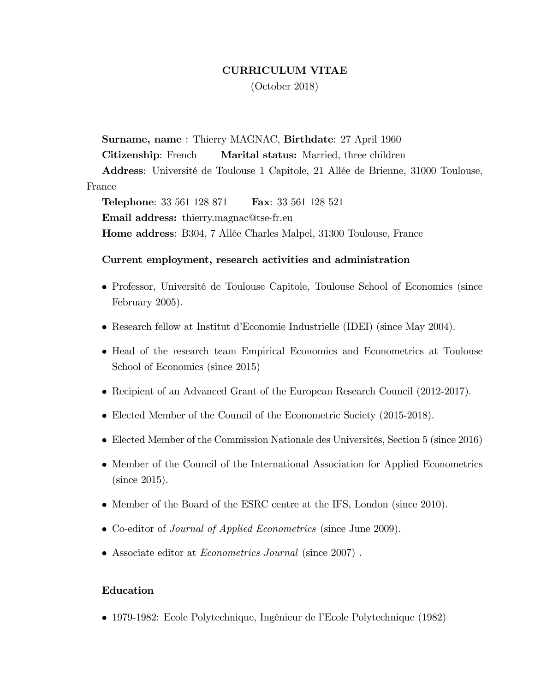# CURRICULUM VITAE

(October 2018)

Surname, name : Thierry MAGNAC, Birthdate: 27 April 1960

Citizenship: French Marital status: Married, three children

Address: Université de Toulouse 1 Capitole, 21 Allée de Brienne, 31000 Toulouse, France

**Telephone:** 33 561 128 871 **Fax:** 33 561 128 521 Email address: thierry.magnac@tse-fr.eu Home address: B304, 7 Allée Charles Malpel, 31300 Toulouse, France

#### Current employment, research activities and administration

- Professor, Université de Toulouse Capitole, Toulouse School of Economics (since February 2005).
- Research fellow at Institut d'Economie Industrielle (IDEI) (since May 2004).
- Head of the research team Empirical Economics and Econometrics at Toulouse School of Economics (since 2015)
- Recipient of an Advanced Grant of the European Research Council (2012-2017).
- Elected Member of the Council of the Econometric Society (2015-2018).
- $\bullet$  Elected Member of the Commission Nationale des Universités, Section 5 (since 2016)
- Member of the Council of the International Association for Applied Econometrics (since 2015).
- Member of the Board of the ESRC centre at the IFS, London (since 2010).
- Co-editor of *Journal of Applied Econometrics* (since June 2009).
- Associate editor at Econometrics Journal (since 2007) .

#### Education

• 1979-1982: Ecole Polytechnique, Ingénieur de l'Ecole Polytechnique (1982)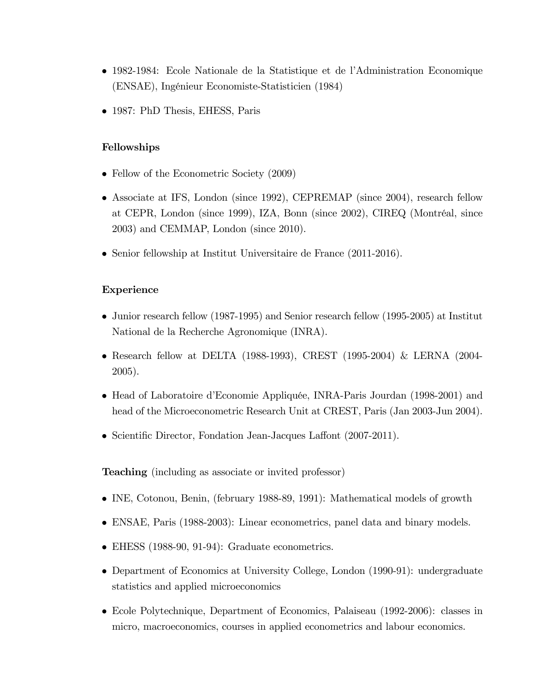- 1982-1984: Ecole Nationale de la Statistique et de l'Administration Economique (ENSAE), IngÈnieur Economiste-Statisticien (1984)
- 1987: PhD Thesis, EHESS, Paris

#### Fellowships

- Fellow of the Econometric Society (2009)
- Associate at IFS, London (since 1992), CEPREMAP (since 2004), research fellow at CEPR, London (since 1999), IZA, Bonn (since 2002), CIREQ (Montréal, since 2003) and CEMMAP, London (since 2010).
- Senior fellowship at Institut Universitaire de France (2011-2016).

#### Experience

- Junior research fellow (1987-1995) and Senior research fellow (1995-2005) at Institut National de la Recherche Agronomique (INRA).
- Research fellow at DELTA (1988-1993), CREST (1995-2004) & LERNA (2004- 2005).
- Head of Laboratoire d'Economie Appliquée, INRA-Paris Jourdan (1998-2001) and head of the Microeconometric Research Unit at CREST, Paris (Jan 2003-Jun 2004).
- Scientific Director, Fondation Jean-Jacques Laffont (2007-2011).

Teaching (including as associate or invited professor)

- INE, Cotonou, Benin, (february 1988-89, 1991): Mathematical models of growth
- ENSAE, Paris (1988-2003): Linear econometrics, panel data and binary models.
- EHESS (1988-90, 91-94): Graduate econometrics.
- Department of Economics at University College, London (1990-91): undergraduate statistics and applied microeconomics
- Ecole Polytechnique, Department of Economics, Palaiseau (1992-2006): classes in micro, macroeconomics, courses in applied econometrics and labour economics.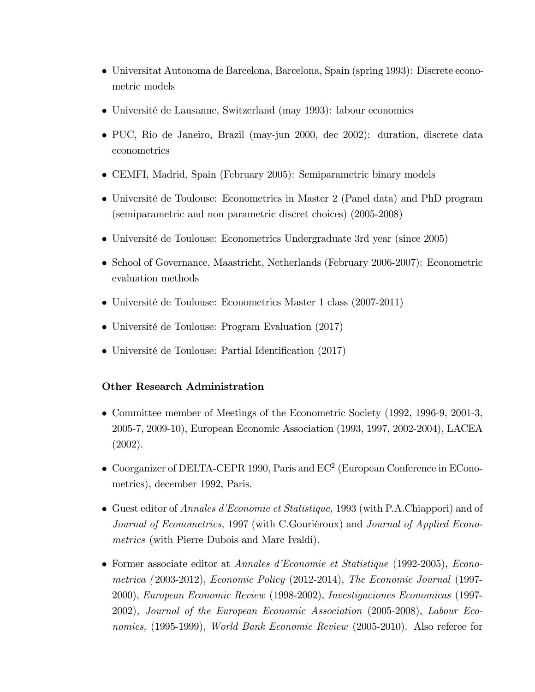- Universitat Autonoma de Barcelona, Barcelona, Spain (spring 1993): Discrete econometric models
- Université de Lausanne, Switzerland (may 1993): labour economics
- PUC, Rio de Janeiro, Brazil (may-jun 2000, dec 2002): duration, discrete data econometrics
- CEMFI, Madrid, Spain (February 2005): Semiparametric binary models
- Université de Toulouse: Econometrics in Master 2 (Panel data) and PhD program (semiparametric and non parametric discret choices) (2005-2008)
- UniversitÈ de Toulouse: Econometrics Undergraduate 3rd year (since 2005)
- School of Governance, Maastricht, Netherlands (February 2006-2007): Econometric evaluation methods
- UniversitÈ de Toulouse: Econometrics Master 1 class (2007-2011)
- Université de Toulouse: Program Evaluation (2017)
- Université de Toulouse: Partial Identification (2017)

# Other Research Administration

- Committee member of Meetings of the Econometric Society (1992, 1996-9, 2001-3, 2005-7, 2009-10), European Economic Association (1993, 1997, 2002-2004), LACEA (2002).
- $\bullet$  Coorganizer of DELTA-CEPR 1990, Paris and EC<sup>2</sup> (European Conference in EConometrics), december 1992, Paris.
- Guest editor of *Annales d'Economie et Statistique*, 1993 (with P.A.Chiappori) and of Journal of Econometrics, 1997 (with C.Gouriéroux) and Journal of Applied Econometrics (with Pierre Dubois and Marc Ivaldi).
- Former associate editor at *Annales d'Economie et Statistique* (1992-2005), *Econo*metrica ( 2003-2012), Economic Policy (2012-2014), The Economic Journal (1997- 2000), European Economic Review (1998-2002), Investigaciones Economicas (1997- 2002), Journal of the European Economic Association (2005-2008), Labour Economics, (1995-1999), World Bank Economic Review (2005-2010). Also referee for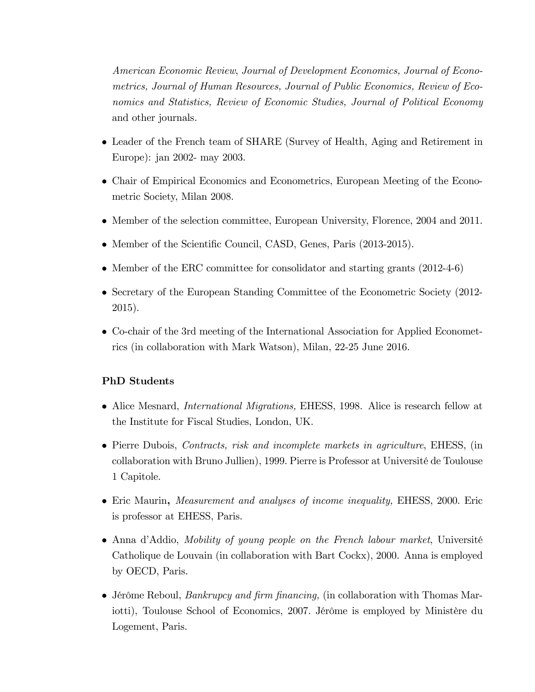American Economic Review, Journal of Development Economics, Journal of Econometrics, Journal of Human Resources, Journal of Public Economics, Review of Economics and Statistics, Review of Economic Studies, Journal of Political Economy and other journals.

- Leader of the French team of SHARE (Survey of Health, Aging and Retirement in Europe): jan 2002- may 2003.
- Chair of Empirical Economics and Econometrics, European Meeting of the Econometric Society, Milan 2008.
- Member of the selection committee, European University, Florence, 2004 and 2011.
- Member of the Scientific Council, CASD, Genes, Paris (2013-2015).
- Member of the ERC committee for consolidator and starting grants (2012-4-6)
- Secretary of the European Standing Committee of the Econometric Society (2012-2015).
- Co-chair of the 3rd meeting of the International Association for Applied Econometrics (in collaboration with Mark Watson), Milan, 22-25 June 2016.

#### PhD Students

- Alice Mesnard, *International Migrations*, EHESS, 1998. Alice is research fellow at the Institute for Fiscal Studies, London, UK.
- Pierre Dubois, Contracts, risk and incomplete markets in agriculture, EHESS, (in collaboration with Bruno Jullien), 1999. Pierre is Professor at Université de Toulouse 1 Capitole.
- Eric Maurin, *Measurement and analyses of income inequality*, EHESS, 2000. Eric is professor at EHESS, Paris.
- Anna d'Addio, Mobility of young people on the French labour market, Université Catholique de Louvain (in collaboration with Bart Cockx), 2000. Anna is employed by OECD, Paris.
- $\bullet$  Jérôme Reboul, *Bankrupcy and firm financing*, (in collaboration with Thomas Mariotti), Toulouse School of Economics, 2007. Jérôme is employed by Ministère du Logement, Paris.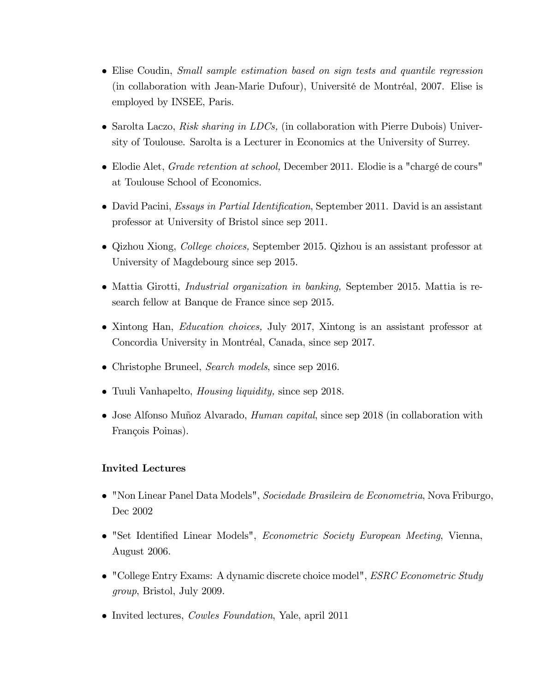- Elise Coudin, Small sample estimation based on sign tests and quantile regression (in collaboration with Jean-Marie Dufour), Université de Montréal, 2007. Elise is employed by INSEE, Paris.
- Sarolta Laczo, Risk sharing in LDCs, (in collaboration with Pierre Dubois) University of Toulouse. Sarolta is a Lecturer in Economics at the University of Surrey.
- $\bullet$  Elodie Alet, *Grade retention at school*, December 2011. Elodie is a "chargé de cours" at Toulouse School of Economics.
- David Pacini, *Essays in Partial Identification*, September 2011. David is an assistant professor at University of Bristol since sep 2011.
- Qizhou Xiong, *College choices*, September 2015. Qizhou is an assistant professor at University of Magdebourg since sep 2015.
- Mattia Girotti, *Industrial organization in banking*, September 2015. Mattia is research fellow at Banque de France since sep 2015.
- Xintong Han, *Education choices*, July 2017, Xintong is an assistant professor at Concordia University in Montréal, Canada, since sep 2017.
- Christophe Bruneel, *Search models*, since sep 2016.
- Tuuli Vanhapelto, Housing liquidity, since sep 2018.
- Jose Alfonso Muñoz Alvarado, *Human capital*, since sep 2018 (in collaboration with François Poinas).

# Invited Lectures

- "Non Linear Panel Data Models", Sociedade Brasileira de Econometria, Nova Friburgo, Dec 2002
- "Set Identified Linear Models", *Econometric Society European Meeting*, Vienna, August 2006.
- "College Entry Exams: A dynamic discrete choice model", *ESRC Econometric Study* group, Bristol, July 2009.
- Invited lectures, *Cowles Foundation*, Yale, april 2011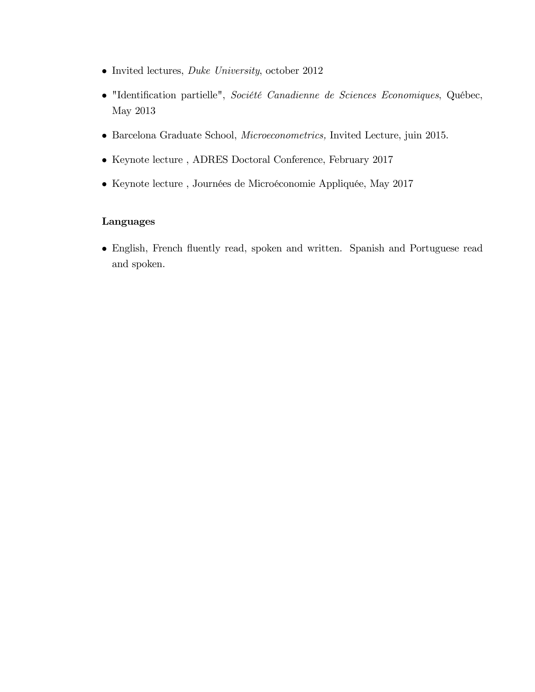- Invited lectures, *Duke University*, october 2012
- · "Identification partielle", Société Canadienne de Sciences Economiques, Québec, May 2013
- Barcelona Graduate School, Microeconometrics, Invited Lecture, juin 2015.
- $\bullet\,$  Keynote lecture , ADRES Doctoral Conference, February 2017
- $\bullet\,$  Keynote lecture , Journées de Microéconomie Appliquée, May 2017

# Languages

 English, French áuently read, spoken and written. Spanish and Portuguese read and spoken.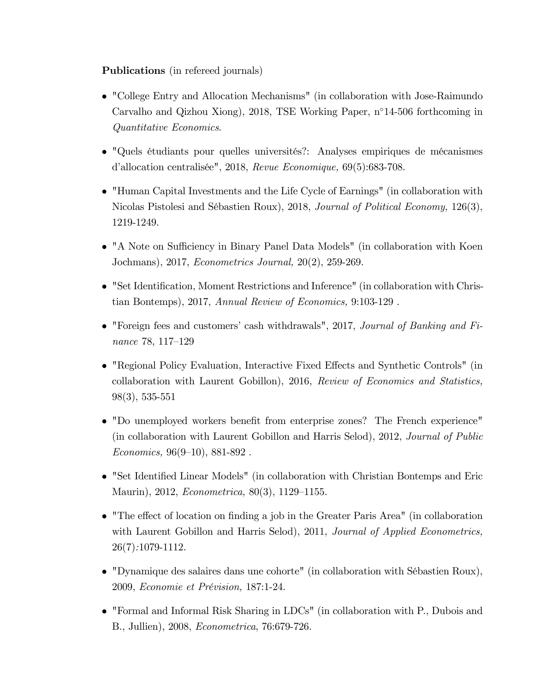Publications (in refereed journals)

- "College Entry and Allocation Mechanisms" (in collaboration with Jose-Raimundo Carvalho and Qizhou Xiong), 2018, TSE Working Paper, n°14-506 forthcoming in Quantitative Economics.
- "Quels étudiants pour quelles universités?: Analyses empiriques de mécanismes d'allocation centralisée", 2018, Revue Economique,  $69(5):683-708$ .
- "Human Capital Investments and the Life Cycle of Earnings" (in collaboration with Nicolas Pistolesi and SÈbastien Roux), 2018, Journal of Political Economy, 126(3), 1219-1249.
- "A Note on Sufficiency in Binary Panel Data Models" (in collaboration with Koen Jochmans), 2017, Econometrics Journal, 20(2), 259-269.
- "Set Identification, Moment Restrictions and Inference" (in collaboration with Christian Bontemps), 2017, Annual Review of Economics, 9:103-129 .
- $\bullet$  "Foreign fees and customers' cash withdrawals", 2017, Journal of Banking and Finance 78, 117–129
- "Regional Policy Evaluation, Interactive Fixed Effects and Synthetic Controls" (in collaboration with Laurent Gobillon), 2016, Review of Economics and Statistics, 98(3), 535-551
- "Do unemployed workers benefit from enterprise zones? The French experience" (in collaboration with Laurent Gobillon and Harris Selod), 2012, Journal of Public  $Economics, 96(9–10), 881-892$ .
- "Set Identified Linear Models" (in collaboration with Christian Bontemps and Eric Maurin), 2012, *Econometrica*, 80(3), 1129–1155.
- $\bullet$  "The effect of location on finding a job in the Greater Paris Area" (in collaboration with Laurent Gobillon and Harris Selod), 2011, Journal of Applied Econometrics, 26(7):1079-1112.
- "Dynamique des salaires dans une cohorte" (in collaboration with SÈbastien Roux), 2009, Economie et PrÈvision, 187:1-24.
- "Formal and Informal Risk Sharing in LDCs" (in collaboration with P., Dubois and B., Jullien), 2008, Econometrica, 76:679-726.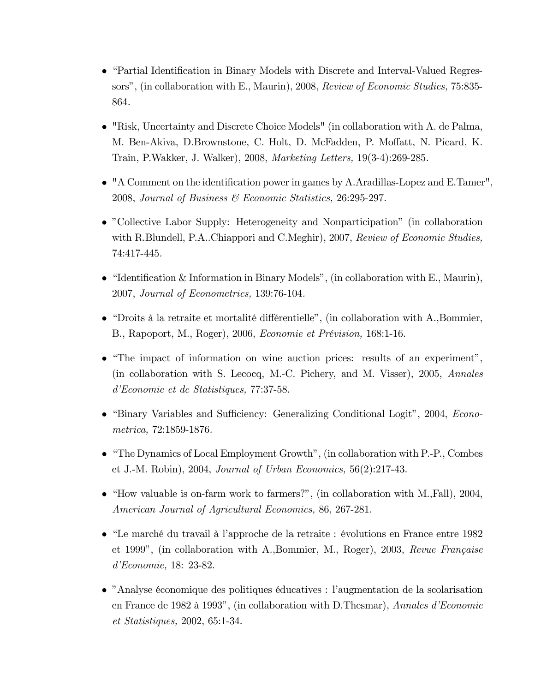- "Partial Identification in Binary Models with Discrete and Interval-Valued Regressors", (in collaboration with E., Maurin), 2008, Review of Economic Studies, 75:835-864.
- $\bullet$  "Risk, Uncertainty and Discrete Choice Models" (in collaboration with A. de Palma, M. Ben-Akiva, D.Brownstone, C. Holt, D. McFadden, P. Moffatt, N. Picard, K. Train, P.Wakker, J. Walker), 2008, Marketing Letters, 19(3-4):269-285.
- $\bullet$  "A Comment on the identification power in games by A. Aradillas-Lopez and E. Tamer", 2008, Journal of Business & Economic Statistics, 26:295-297.
- "Collective Labor Supply: Heterogeneity and Nonparticipation" (in collaboration with R.Blundell, P.A..Chiappori and C.Meghir), 2007, Review of Economic Studies, 74:417-445.
- "Identification & Information in Binary Models", (in collaboration with E., Maurin), 2007, Journal of Econometrics, 139:76-104.
- "Droits à la retraite et mortalité différentielle", (in collaboration with  $A$ ., Bommier, B., Rapoport, M., Roger), 2006, Economie et Prévision, 168:1-16.
- $\bullet$  "The impact of information on wine auction prices: results of an experiment", (in collaboration with S. Lecocq, M.-C. Pichery, and M. Visser), 2005, Annales d'Economie et de Statistiques, 77:37-58.
- "Binary Variables and Sufficiency: Generalizing Conditional Logit", 2004, *Econo*metrica, 72:1859-1876.
- "The Dynamics of Local Employment Growth", (in collaboration with  $P.-P$ , Combes et J.-M. Robin), 2004, Journal of Urban Economics,  $56(2):217-43$ .
- "How valuable is on-farm work to farmers?", (in collaboration with  $M$ , Fall), 2004, American Journal of Agricultural Economics, 86, 267-281.
- $\bullet$  "Le marché du travail à l'approche de la retraite : évolutions en France entre 1982 et 1999", (in collaboration with A., Bommier, M., Roger), 2003, Revue Française  $d'Economic, 18: 23-82.$
- "Analyse économique des politiques éducatives : l'augmentation de la scolarisation en France de 1982 à 1993", (in collaboration with D.Thesmar), Annales d'Economie  $et \; Statistics, \; 2002, \; 65:1-34.$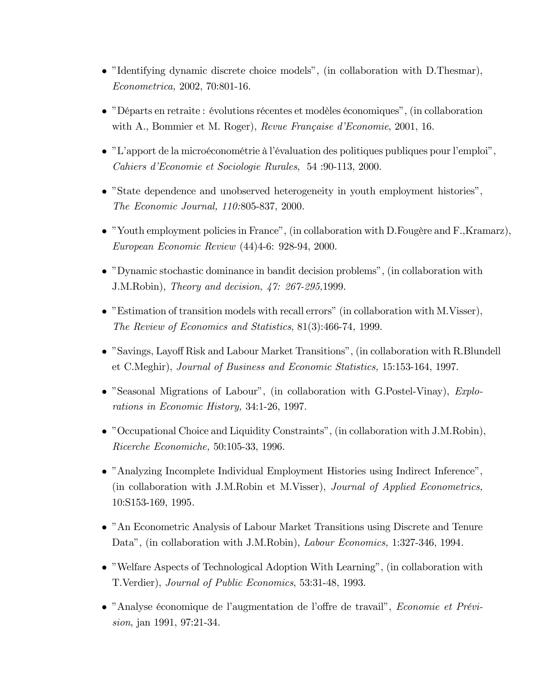- "Identifying dynamic discrete choice models", (in collaboration with  $D$ . The smar), Econometrica, 2002, 70:801-16.
- $\bullet$  "Départs en retraite : évolutions récentes et modèles économiques", (in collaboration with A., Bommier et M. Roger), Revue Française d'Economie, 2001, 16.
- "L'apport de la microéconométrie à l'évaluation des politiques publiques pour l'emploi", Cahiers d'Economie et Sociologie Rurales, 54:90-113, 2000.
- "State dependence and unobserved heterogeneity in youth employment histories", The Economic Journal, 110:805-837, 2000.
- "Youth employment policies in France", (in collaboration with D. Fougère and F., Kramarz), European Economic Review (44)4-6: 928-94, 2000.
- $\bullet$  "Dynamic stochastic dominance in bandit decision problems", (in collaboration with J.M.Robin), Theory and decision, 47: 267-295,1999.
- "Estimation of transition models with recall errors" (in collaboration with M.Visser), The Review of Economics and Statistics, 81(3):466-74, 1999.
- "Savings, Layoff Risk and Labour Market Transitions", (in collaboration with R. Blundell et C.Meghir), Journal of Business and Economic Statistics, 15:153-164, 1997.
- "Seasonal Migrations of Labour", (in collaboration with G.Postel-Vinay), Explorations in Economic History, 34:1-26, 1997.
- "Occupational Choice and Liquidity Constraints", (in collaboration with J.M.Robin), Ricerche Economiche, 50:105-33, 1996.
- "Analyzing Incomplete Individual Employment Histories using Indirect Inference", (in collaboration with J.M.Robin et M.Visser), *Journal of Applied Econometrics*,  $10: S153-169, 1995.$
- "An Econometric Analysis of Labour Market Transitions using Discrete and Tenure Data", (in collaboration with J.M.Robin), *Labour Economics*, 1:327-346, 1994.
- "Welfare Aspects of Technological Adoption With Learning", (in collaboration with T.Verdier), Journal of Public Economics, 53:31-48, 1993.
- "Analyse économique de l'augmentation de l'offre de travail", Economie et Prévi*sion*, jan 1991, 97:21-34.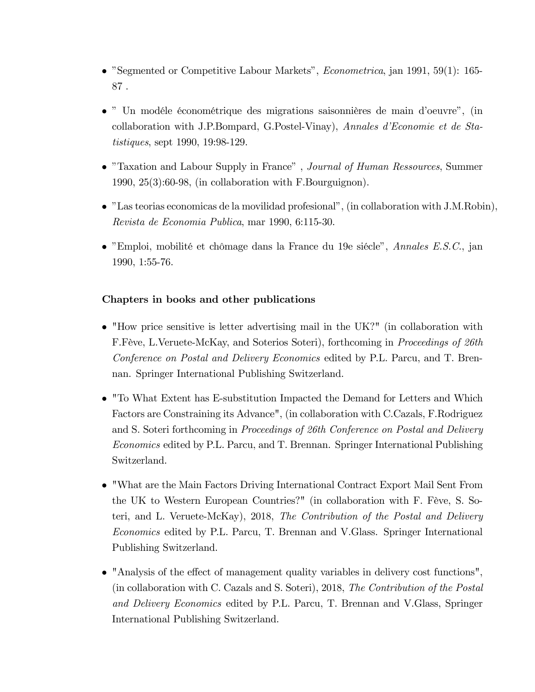- "Segmented or Competitive Labour Markets", *Econometrica*, jan 1991, 59(1): 165-87 .
- " Un modéle économétrique des migrations saisonnières de main d'oeuvre", (in collaboration with J.P.Bompard, G.Postel-Vinay), Annales d'Economie et de Statistiques, sept 1990, 19:98-129.
- "Taxation and Labour Supply in France", *Journal of Human Ressources*, Summer 1990, 25(3):60-98, (in collaboration with F.Bourguignon).
- "Las teorias economicas de la movilidad profesional", (in collaboration with J.M.Robin), Revista de Economia Publica, mar 1990, 6:115-30.
- "Emploi, mobilité et chômage dans la France du 19e siècle", Annales E.S.C., jan 1990, 1:55-76.

# Chapters in books and other publications

- "How price sensitive is letter advertising mail in the UK?" (in collaboration with F.Fève, L.Veruete-McKay, and Soterios Soteri), forthcoming in *Proceedings of 26th* Conference on Postal and Delivery Economics edited by P.L. Parcu, and T. Brennan. Springer International Publishing Switzerland.
- "To What Extent has E-substitution Impacted the Demand for Letters and Which Factors are Constraining its Advance", (in collaboration with C.Cazals, F.Rodriguez and S. Soteri forthcoming in Proceedings of 26th Conference on Postal and Delivery Economics edited by P.L. Parcu, and T. Brennan. Springer International Publishing Switzerland.
- "What are the Main Factors Driving International Contract Export Mail Sent From the UK to Western European Countries?" (in collaboration with F. Fève, S. Soteri, and L. Veruete-McKay), 2018, The Contribution of the Postal and Delivery Economics edited by P.L. Parcu, T. Brennan and V.Glass. Springer International Publishing Switzerland.
- "Analysis of the effect of management quality variables in delivery cost functions", (in collaboration with C. Cazals and S. Soteri), 2018, The Contribution of the Postal and Delivery Economics edited by P.L. Parcu, T. Brennan and V.Glass, Springer International Publishing Switzerland.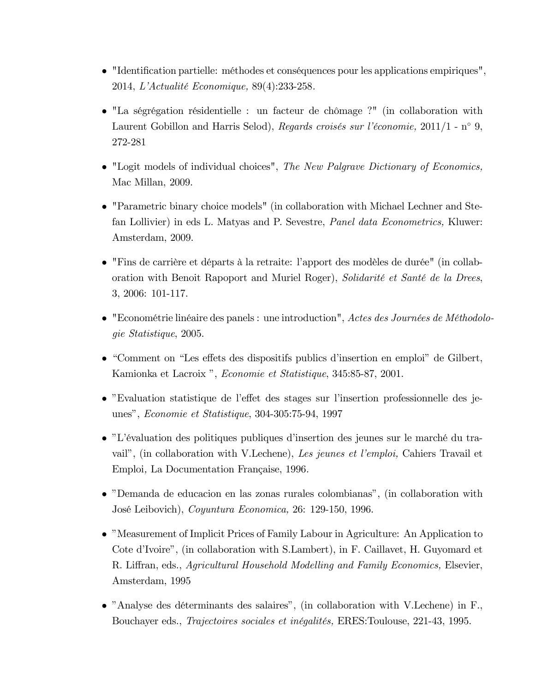- $\bullet$  "Identification partielle: méthodes et conséquences pour les applications empiriques", 2014, L'Actualité Economique, 89(4):233-258.
- $\bullet$  "La ségrégation résidentielle : un facteur de chômage ?" (in collaboration with Laurent Gobillon and Harris Selod), Regards croisés sur l'économie, 2011/1 - n° 9. 272-281
- "Logit models of individual choices", The New Palgrave Dictionary of Economics, Mac Millan, 2009.
- $\bullet$  "Parametric binary choice models" (in collaboration with Michael Lechner and Stefan Lollivier) in eds L. Matyas and P. Sevestre, *Panel data Econometrics*, Kluwer: Amsterdam, 2009.
- · "Fins de carrière et départs à la retraite: l'apport des modèles de durée" (in collaboration with Benoit Rapoport and Muriel Roger), Solidarité et Santé de la Drees, 3, 2006: 101-117.
- $\bullet$  "Econométrie linéaire des panels : une introduction", Actes des Journées de Méthodolo*gie Statistique*, 2005.
- "Comment on "Les effets des dispositifs publics d'insertion en emploi" de Gilbert, Kamionka et Lacroix", Economie et Statistique, 345:85-87, 2001.
- "Evaluation statistique de l'effet des stages sur l'insertion professionnelle des jeunes", Economie et Statistique, 304-305:75-94, 1997
- "L'évaluation des politiques publiques d'insertion des jeunes sur le marché du travail", (in collaboration with V.Lechene), Les jeunes et l'emploi, Cahiers Travail et Emploi, La Documentation Française, 1996.
- "Demanda de educacion en las zonas rurales colombianas", (in collaboration with José Leibovich), Coyuntura Economica, 26: 129-150, 1996.
- "Measurement of Implicit Prices of Family Labour in Agriculture: An Application to Cote d'Ivoire", (in collaboration with S.Lambert), in F. Caillavet, H. Guyomard et R. Liffran, eds., Agricultural Household Modelling and Family Economics, Elsevier, Amsterdam, 1995
- $\bullet$  "Analyse des déterminants des salaires", (in collaboration with V.Lechene) in F., Bouchayer eds., Trajectoires sociales et inégalités, ERES: Toulouse, 221-43, 1995.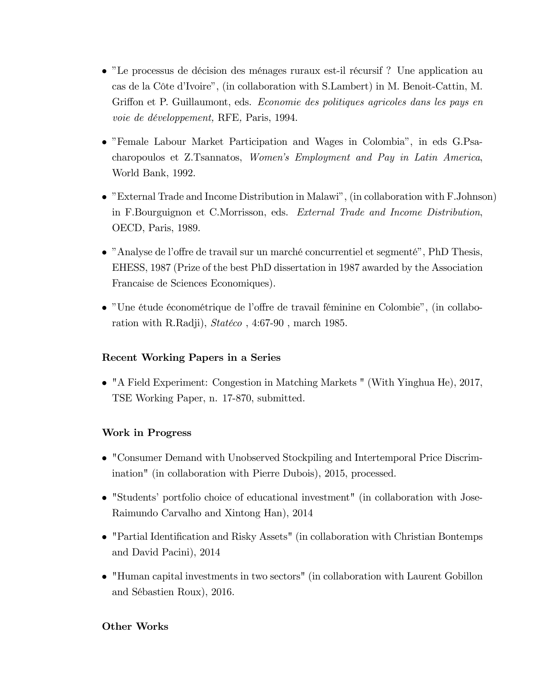- "Le processus de décision des ménages ruraux est-il récursif? Une application au cas de la Côte d'Ivoire", (in collaboration with S.Lambert) in M. Benoit-Cattin, M. Griffon et P. Guillaumont, eds. Economie des politiques agricoles dans les pays en voie de développement, RFE, Paris, 1994.
- "Female Labour Market Participation and Wages in Colombia", in eds G.Psacharopoulos et Z.Tsannatos, Women's Employment and Pay in Latin America, World Bank, 1992.
- "External Trade and Income Distribution in Malawi", (in collaboration with F. Johnson) in F.Bourguignon et C.Morrisson, eds. External Trade and Income Distribution, OECD, Paris, 1989.
- "Analyse de l'offre de travail sur un marché concurrentiel et segmenté", PhD Thesis, EHESS, 1987 (Prize of the best PhD dissertation in 1987 awarded by the Association Francaise de Sciences Economiques).
- "Une étude économétrique de l'offre de travail féminine en Colombie", (in collaboration with R.Radji),  $Statéco$ , 4:67-90, march 1985.

# Recent Working Papers in a Series

• "A Field Experiment: Congestion in Matching Markets " (With Yinghua He), 2017, TSE Working Paper, n. 17-870, submitted.

# **Work in Progress**

- "Consumer Demand with Unobserved Stockpiling and Intertemporal Price Discrimination" (in collaboration with Pierre Dubois), 2015, processed.
- "Students' portfolio choice of educational investment" (in collaboration with Jose-Raimundo Carvalho and Xintong Han), 2014
- "Partial Identification and Risky Assets" (in collaboration with Christian Bontemps and David Pacini), 2014
- "Human capital investments in two sectors" (in collaboration with Laurent Gobillon and Sébastien Roux), 2016.

# **Other Works**